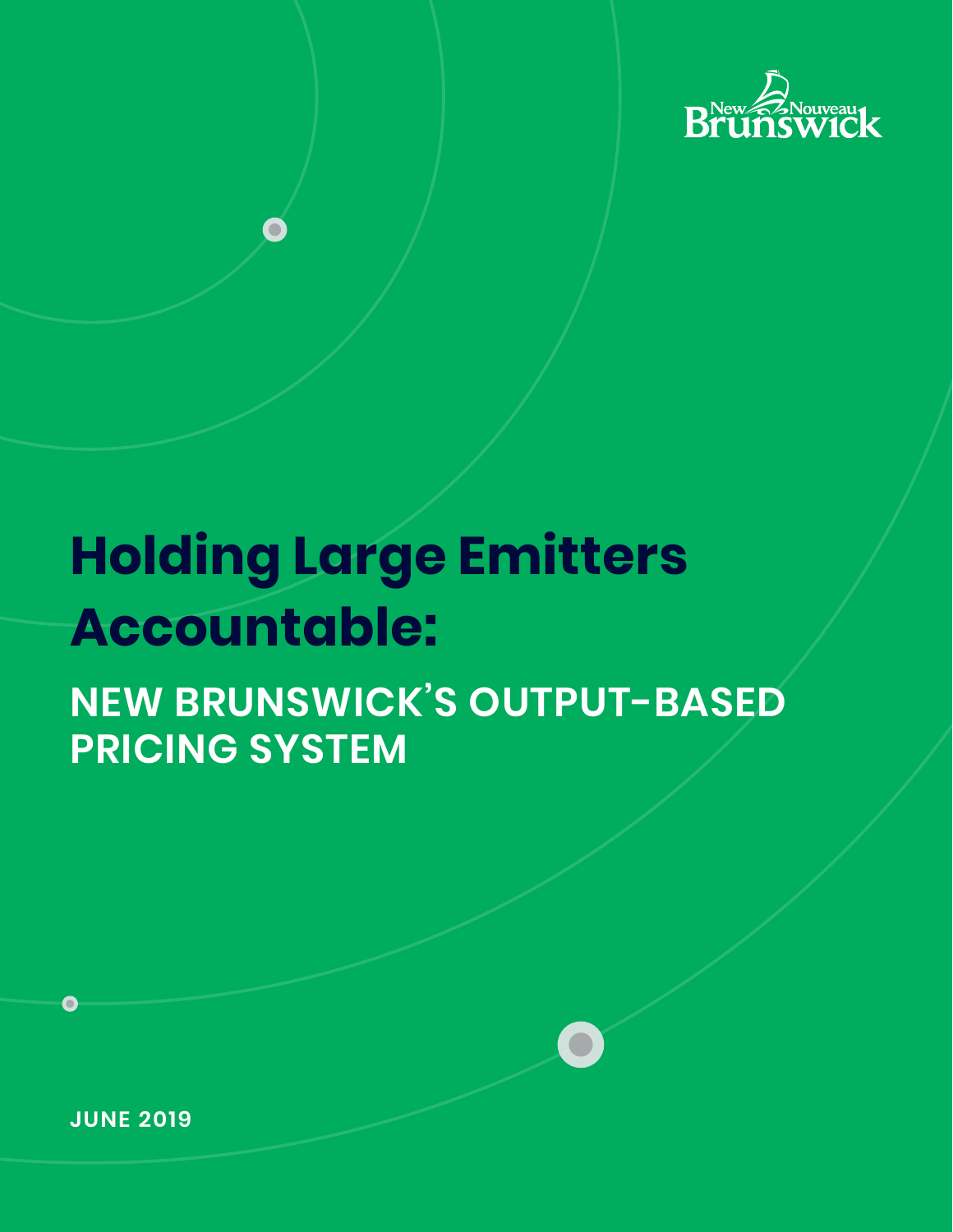

# **Holding Large Emitters Accountable:**

# **NEW BRUNSWICK'S OUTPUT-BASED PRICING SYSTEM**

**JUNE 2019**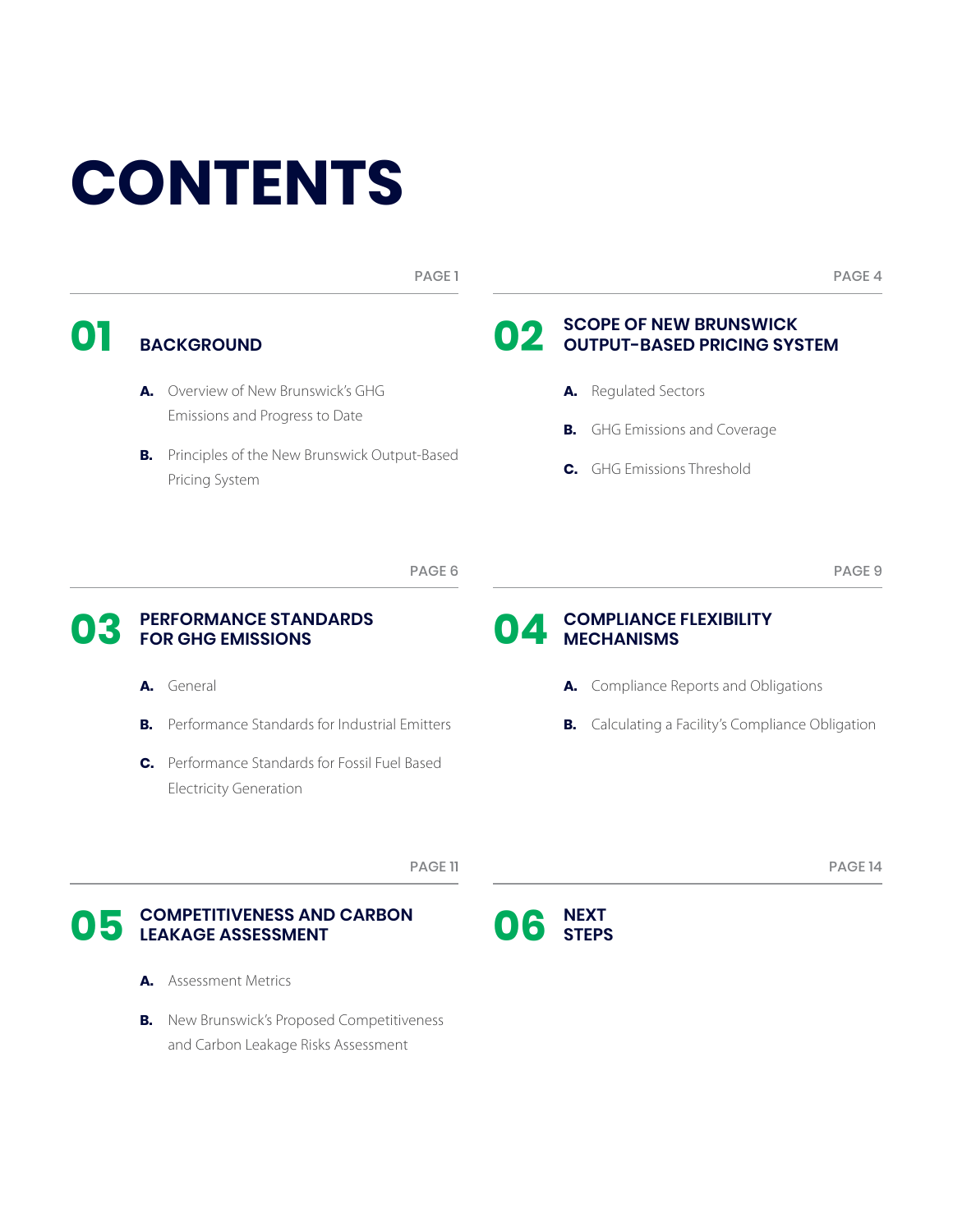# **CONTENTS**

PAGE 1

**BACKGROUND 01 02**

- **A.** Overview of New Brunswick's GHG Emissions and Progress to Date
- **B.** Principles of the New Brunswick Output-Based Pricing System

# **SCOPE OF NEW BRUNSWICK OUTPUT-BASED PRICING SYSTEM**

**A.** Regulated Sectors

**MECHANISMS**

- **B.** GHG Emissions and Coverage
- **C.** GHG Emissions Threshold

PAGE 6

# **PERFORMANCE STANDARDS 03** FOR GHG EMISSIONS **04**

- **A.** General
- **B.** Performance Standards for Industrial Emitters
- **C.** Performance Standards for Fossil Fuel Based Electricity Generation

# **COMPLIANCE FLEXIBILITY**

- 
- **A.** Compliance Reports and Obligations
- **B.** Calculating a Facility's Compliance Obligation

PAGE 11

# **COMPETITIVENESS AND CARBON LEAKAGE ASSESSMENT 05 06**

- **A.** Assessment Metrics
- **B.** New Brunswick's Proposed Competitiveness and Carbon Leakage Risks Assessment



PAGE 9

PAGE 4

PAGE 14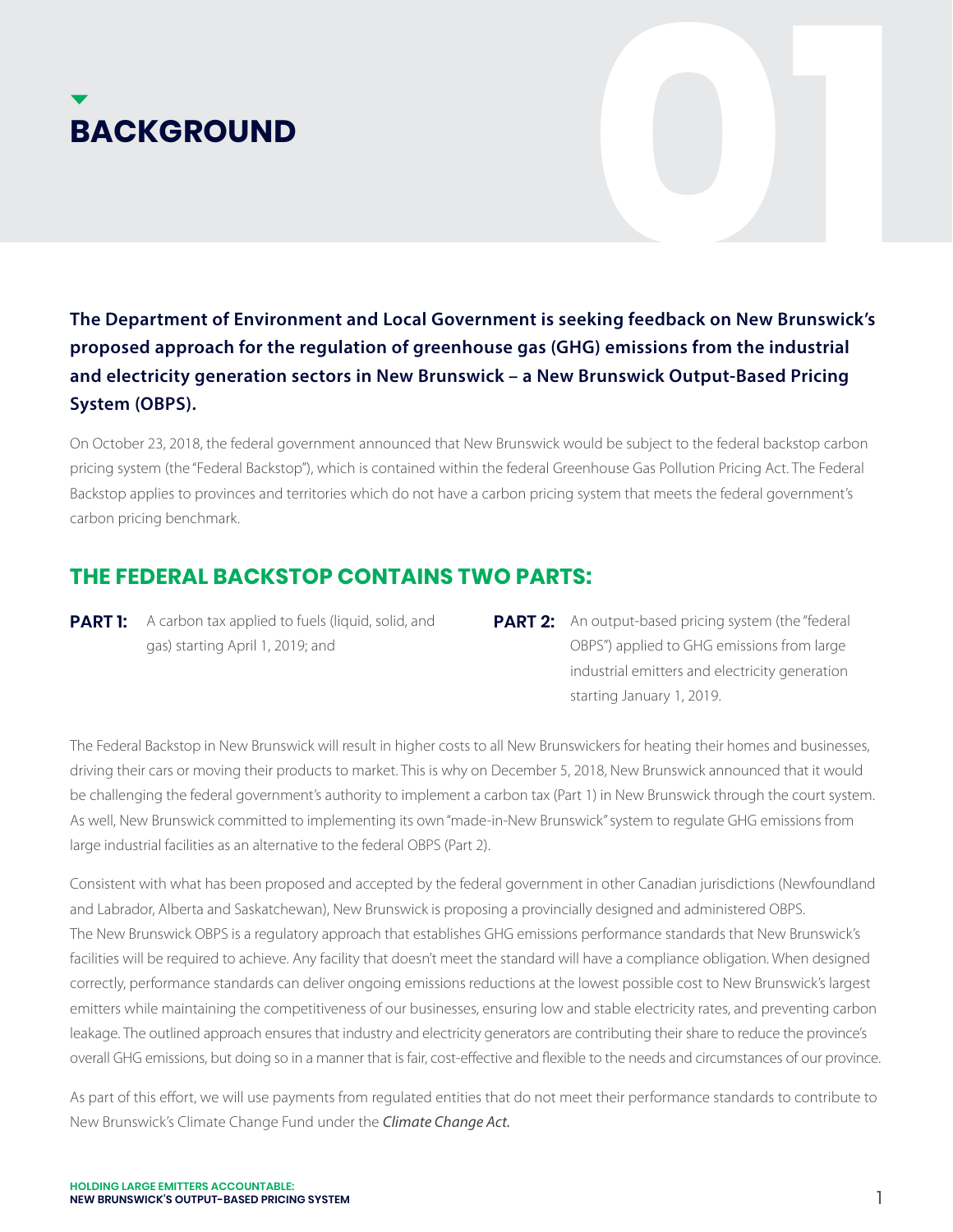**The Department of Environment and Local Government is seeking feedback on New Brunswick's proposed approach for the regulation of greenhouse gas (GHG) emissions from the industrial and electricity generation sectors in New Brunswick – a New Brunswick Output-Based Pricing System (OBPS). BACKGROUND**<br>The Department of Environment and Local Government is seeking feedback on New Brunswick's<br>proposed approach for the regulation of greenhouse gas (GHG) emissions from the industrial

On October 23, 2018, the federal government announced that New Brunswick would be subject to the federal backstop carbon pricing system (the "Federal Backstop"), which is contained within the federal Greenhouse Gas Pollution Pricing Act. The Federal Backstop applies to provinces and territories which do not have a carbon pricing system that meets the federal government's carbon pricing benchmark.

# **THE FEDERAL BACKSTOP CONTAINS TWO PARTS:**

- **PART 1:** A carbon tax applied to fuels (liquid, solid, and **PART 2:** gas) starting April 1, 2019; and
- **PART 2:** An output-based pricing system (the "federal OBPS") applied to GHG emissions from large industrial emitters and electricity generation starting January 1, 2019.

The Federal Backstop in New Brunswick will result in higher costs to all New Brunswickers for heating their homes and businesses, driving their cars or moving their products to market. This is why on December 5, 2018, New Brunswick announced that it would be challenging the federal government's authority to implement a carbon tax (Part 1) in New Brunswick through the court system. As well, New Brunswick committed to implementing its own "made-in-New Brunswick" system to regulate GHG emissions from large industrial facilities as an alternative to the federal OBPS (Part 2).

Consistent with what has been proposed and accepted by the federal government in other Canadian jurisdictions (Newfoundland and Labrador, Alberta and Saskatchewan), New Brunswick is proposing a provincially designed and administered OBPS. The New Brunswick OBPS is a regulatory approach that establishes GHG emissions performance standards that New Brunswick's facilities will be required to achieve. Any facility that doesn't meet the standard will have a compliance obligation. When designed correctly, performance standards can deliver ongoing emissions reductions at the lowest possible cost to New Brunswick's largest emitters while maintaining the competitiveness of our businesses, ensuring low and stable electricity rates, and preventing carbon leakage. The outlined approach ensures that industry and electricity generators are contributing their share to reduce the province's overall GHG emissions, but doing so in a manner that is fair, cost-effective and flexible to the needs and circumstances of our province.

As part of this effort, we will use payments from regulated entities that do not meet their performance standards to contribute to New Brunswick's Climate Change Fund under the *Climate Change Act.*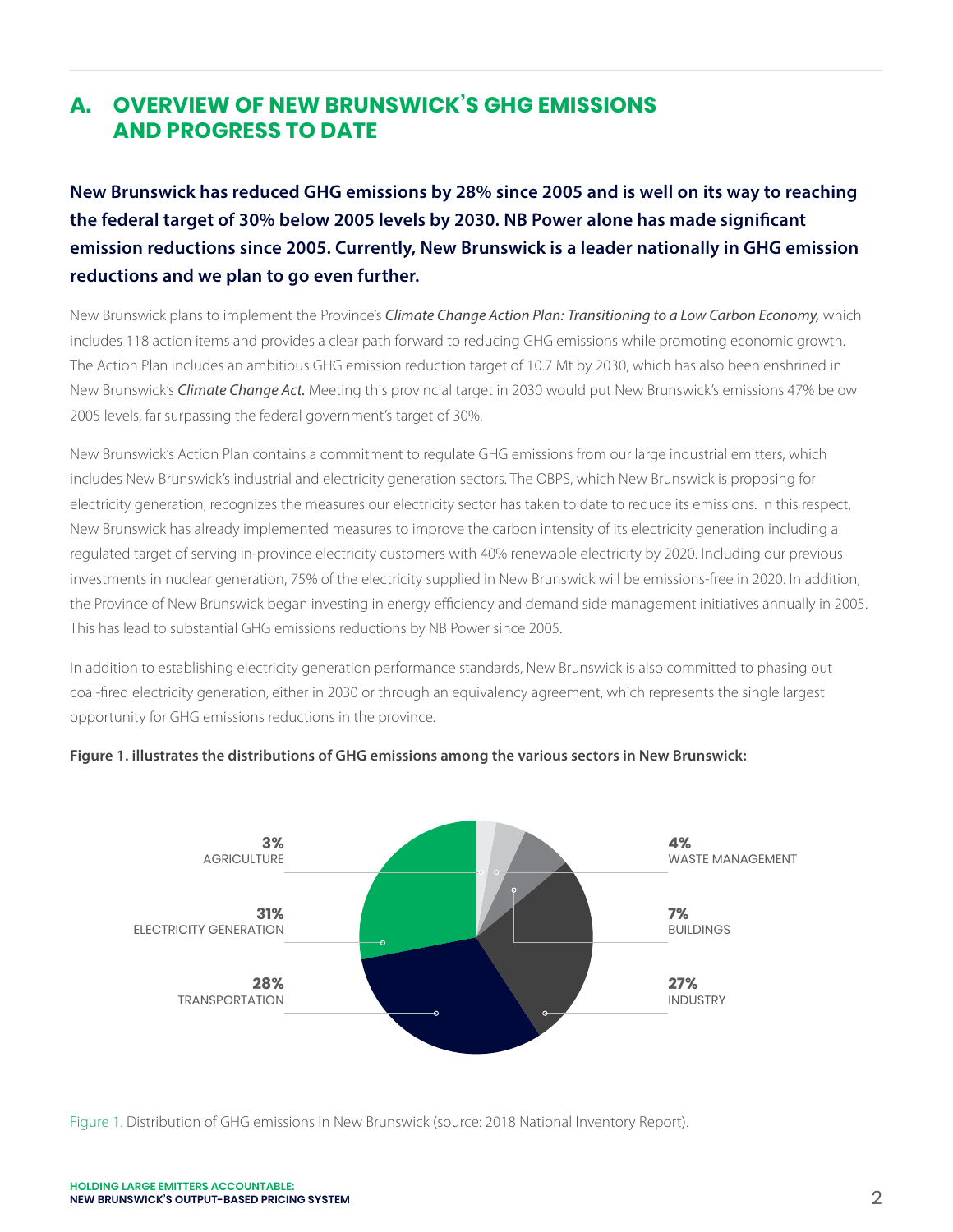# **A. OVERVIEW OF NEW BRUNSWICK'S GHG EMISSIONS AND PROGRESS TO DATE**

**New Brunswick has reduced GHG emissions by 28% since 2005 and is well on its way to reaching the federal target of 30% below 2005 levels by 2030. NB Power alone has made significant emission reductions since 2005. Currently, New Brunswick is a leader nationally in GHG emission reductions and we plan to go even further.** 

New Brunswick plans to implement the Province's *Climate Change Action Plan: Transitioning to a Low Carbon Economy,* which includes 118 action items and provides a clear path forward to reducing GHG emissions while promoting economic growth. The Action Plan includes an ambitious GHG emission reduction target of 10.7 Mt by 2030, which has also been enshrined in New Brunswick's *Climate Change Act.* Meeting this provincial target in 2030 would put New Brunswick's emissions 47% below 2005 levels, far surpassing the federal government's target of 30%.

New Brunswick's Action Plan contains a commitment to regulate GHG emissions from our large industrial emitters, which includes New Brunswick's industrial and electricity generation sectors. The OBPS, which New Brunswick is proposing for electricity generation, recognizes the measures our electricity sector has taken to date to reduce its emissions. In this respect, New Brunswick has already implemented measures to improve the carbon intensity of its electricity generation including a regulated target of serving in-province electricity customers with 40% renewable electricity by 2020. Including our previous investments in nuclear generation, 75% of the electricity supplied in New Brunswick will be emissions-free in 2020. In addition, the Province of New Brunswick began investing in energy efficiency and demand side management initiatives annually in 2005. This has lead to substantial GHG emissions reductions by NB Power since 2005.

In addition to establishing electricity generation performance standards, New Brunswick is also committed to phasing out coal-fired electricity generation, either in 2030 or through an equivalency agreement, which represents the single largest opportunity for GHG emissions reductions in the province.



# **Figure 1. illustrates the distributions of GHG emissions among the various sectors in New Brunswick:**

Figure 1. Distribution of GHG emissions in New Brunswick (source: 2018 National Inventory Report).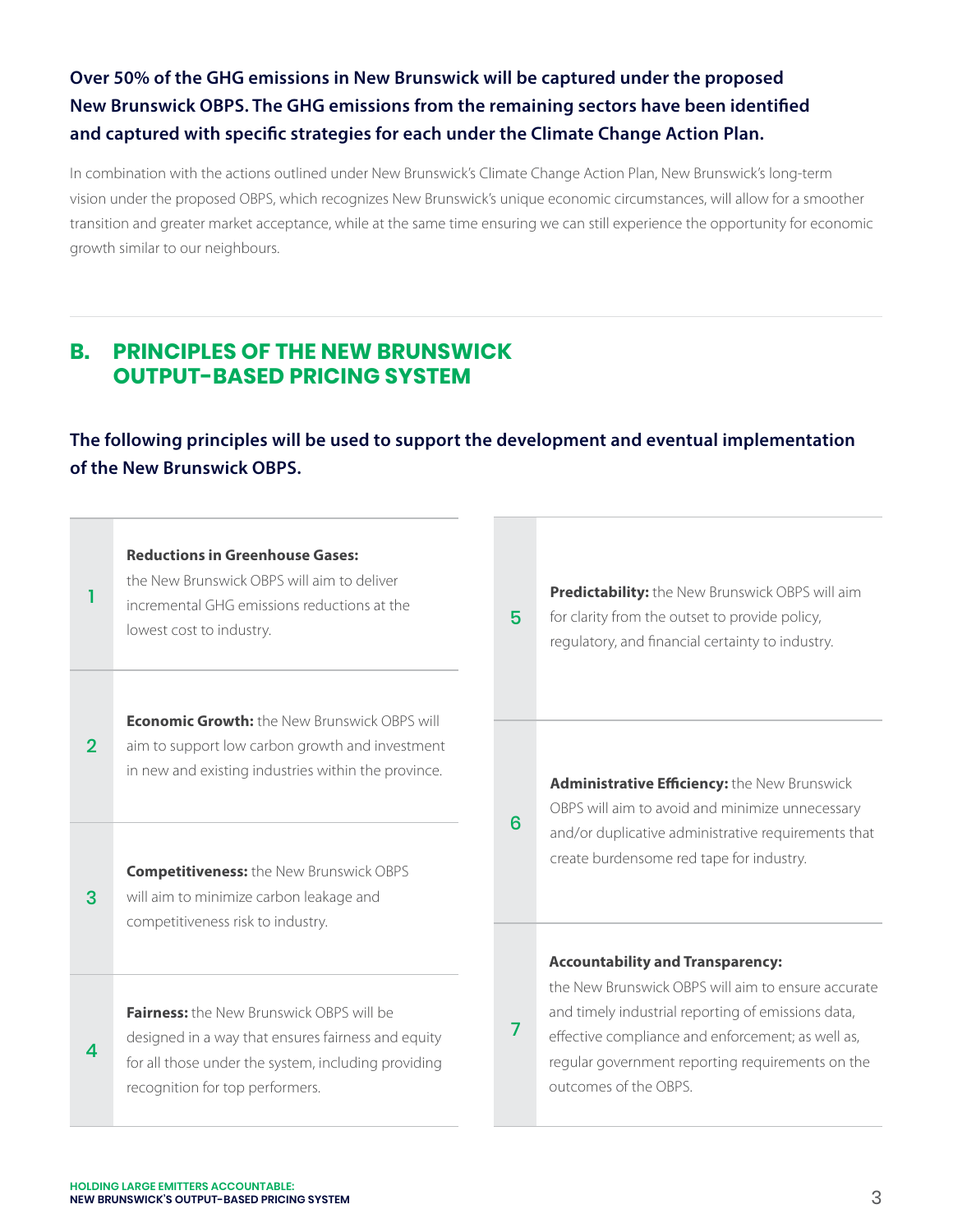# **Over 50% of the GHG emissions in New Brunswick will be captured under the proposed New Brunswick OBPS. The GHG emissions from the remaining sectors have been identified and captured with specific strategies for each under the Climate Change Action Plan.**

In combination with the actions outlined under New Brunswick's Climate Change Action Plan, New Brunswick's long-term vision under the proposed OBPS, which recognizes New Brunswick's unique economic circumstances, will allow for a smoother transition and greater market acceptance, while at the same time ensuring we can still experience the opportunity for economic growth similar to our neighbours.

# **B. PRINCIPLES OF THE NEW BRUNSWICK OUTPUT-BASED PRICING SYSTEM**

**The following principles will be used to support the development and eventual implementation of the New Brunswick OBPS.**

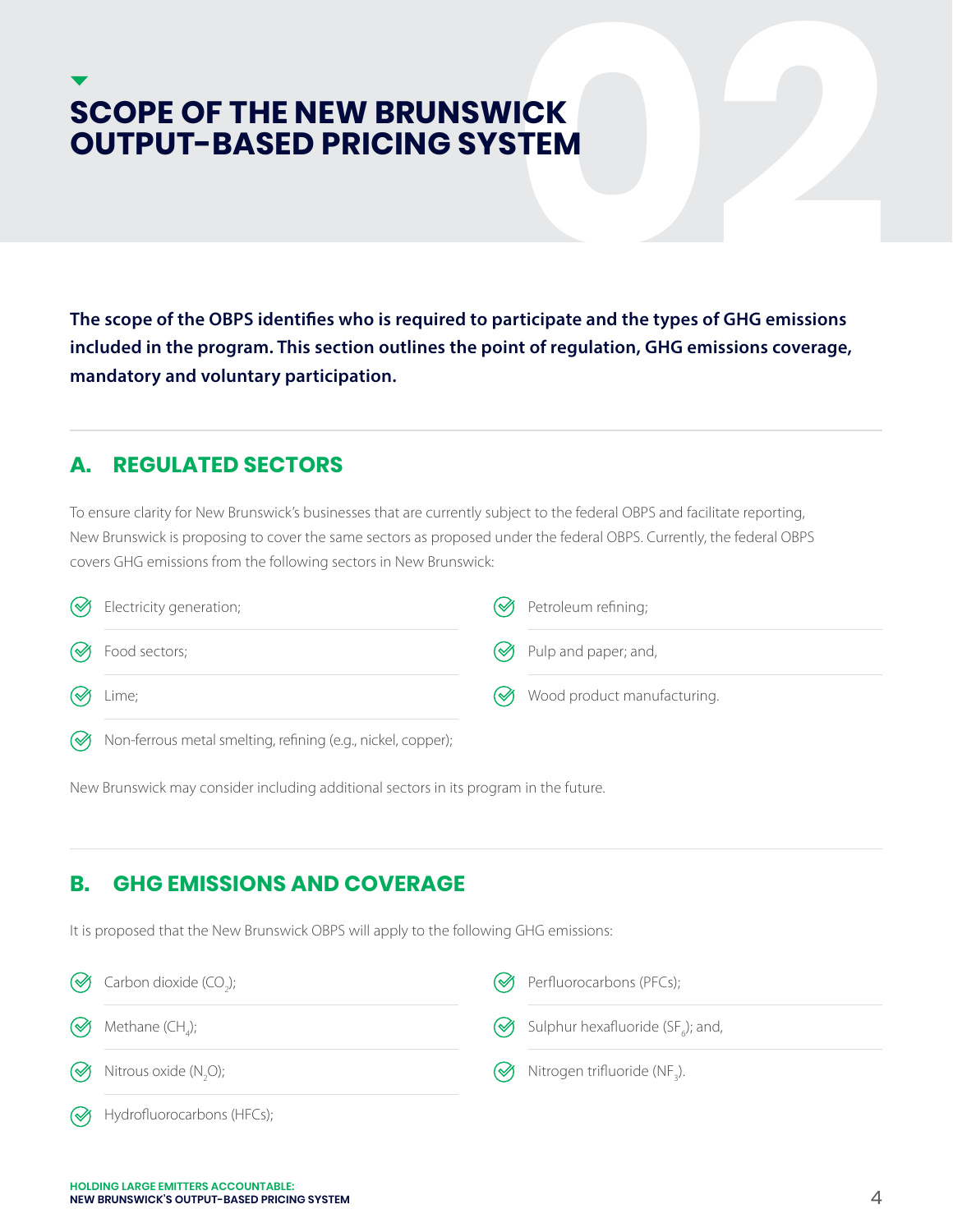# **SCOPE OF THE NEW BRUNSWICK<br>
OUTPUT–BASED PRICING SYSTEM**<br>
The scope of the OBPS identifies who is required to participate and the types of GHG emissions<br>
included in the program. This section outlines the point of regulat **OUTPUT-BASED PRICING SYSTEM**

**The scope of the OBPS identifies who is required to participate and the types of GHG emissions included in the program. This section outlines the point of regulation, GHG emissions coverage, mandatory and voluntary participation.**

#### **A. REGULATED SECTORS**

To ensure clarity for New Brunswick's businesses that are currently subject to the federal OBPS and facilitate reporting, New Brunswick is proposing to cover the same sectors as proposed under the federal OBPS. Currently, the federal OBPS covers GHG emissions from the following sectors in New Brunswick:

| Sectricity generation;                                           | (√) Petroleum refining;              |
|------------------------------------------------------------------|--------------------------------------|
| <b>S</b> Food sectors;                                           | $\oslash$ Pulp and paper; and,       |
| $\otimes$ Lime;                                                  | <b>۞</b> Wood product manufacturing. |
| (√) Non-ferrous metal smelting, refining (e.g., nickel, copper); |                                      |

New Brunswick may consider including additional sectors in its program in the future.

# **B. GHG EMISSIONS AND COVERAGE**

It is proposed that the New Brunswick OBPS will apply to the following GHG emissions:

| $\bigotimes$ Carbon dioxide (CO <sub>2</sub> ); | M | Perfluorocarbons (PFCs);                                   |
|-------------------------------------------------|---|------------------------------------------------------------|
| $\bigotimes$ Methane (CH <sub>a</sub> );        |   | $\bigotimes$ Sulphur hexafluoride (SF <sub>e</sub> ); and, |
| $\bigotimes$ Nitrous oxide (N <sub>2</sub> O);  | জ | Nitrogen trifluoride (NF <sub>3</sub> ).                   |
| $\mathcal{A}$ Hydrofluorocarbons (HFCs);        |   |                                                            |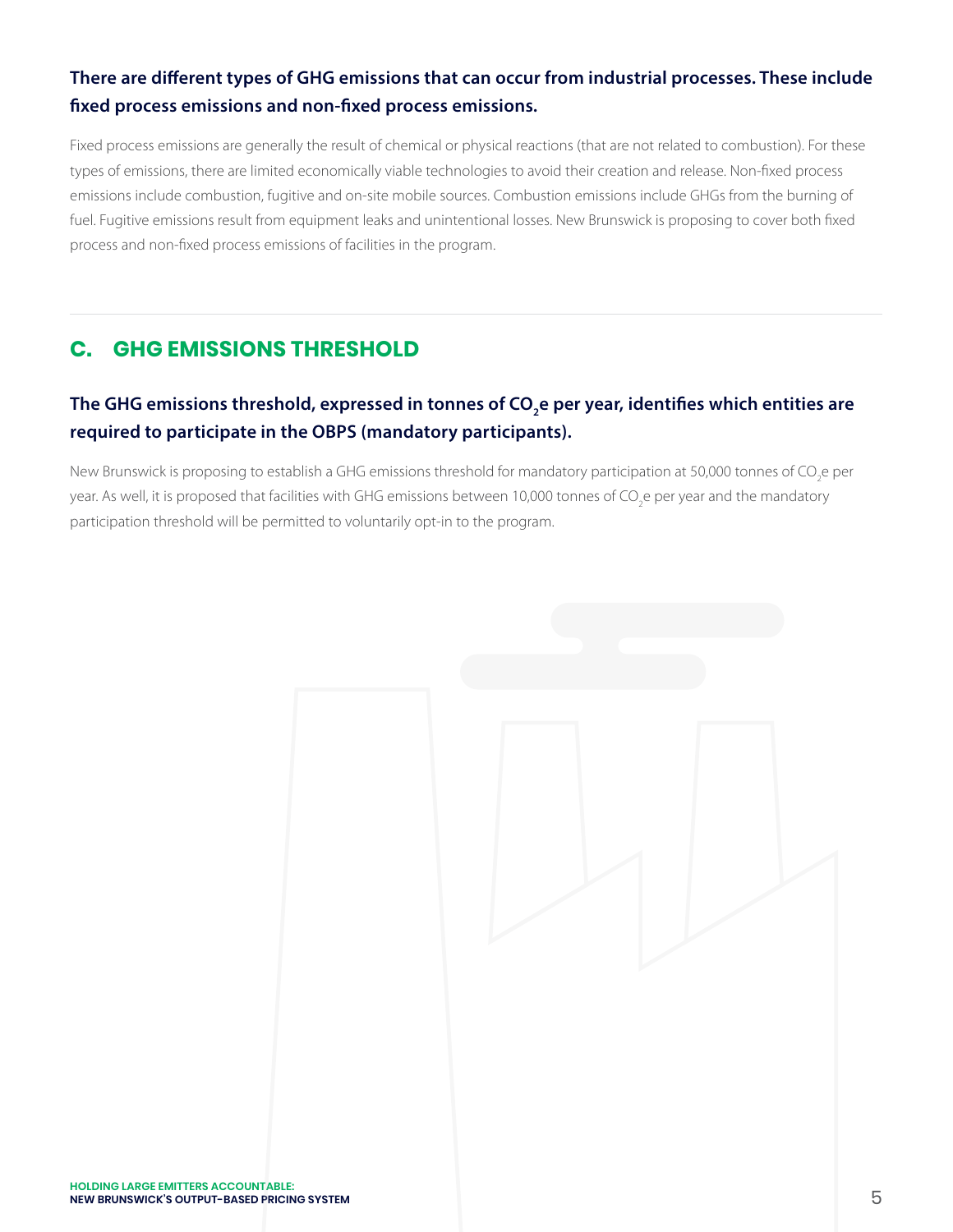# **There are different types of GHG emissions that can occur from industrial processes. These include fixed process emissions and non-fixed process emissions.**

Fixed process emissions are generally the result of chemical or physical reactions (that are not related to combustion). For these types of emissions, there are limited economically viable technologies to avoid their creation and release. Non-fixed process emissions include combustion, fugitive and on-site mobile sources. Combustion emissions include GHGs from the burning of fuel. Fugitive emissions result from equipment leaks and unintentional losses. New Brunswick is proposing to cover both fixed process and non-fixed process emissions of facilities in the program.

# **C. GHG EMISSIONS THRESHOLD**

# The GHG emissions threshold, expressed in tonnes of CO<sub>2</sub>e per year, identifies which entities are **required to participate in the OBPS (mandatory participants).**

New Brunswick is proposing to establish a GHG emissions threshold for mandatory participation at 50,000 tonnes of CO<sub>2</sub>e per year. As well, it is proposed that facilities with GHG emissions between 10,000 tonnes of CO<sub>2</sub>e per year and the mandatory participation threshold will be permitted to voluntarily opt-in to the program.

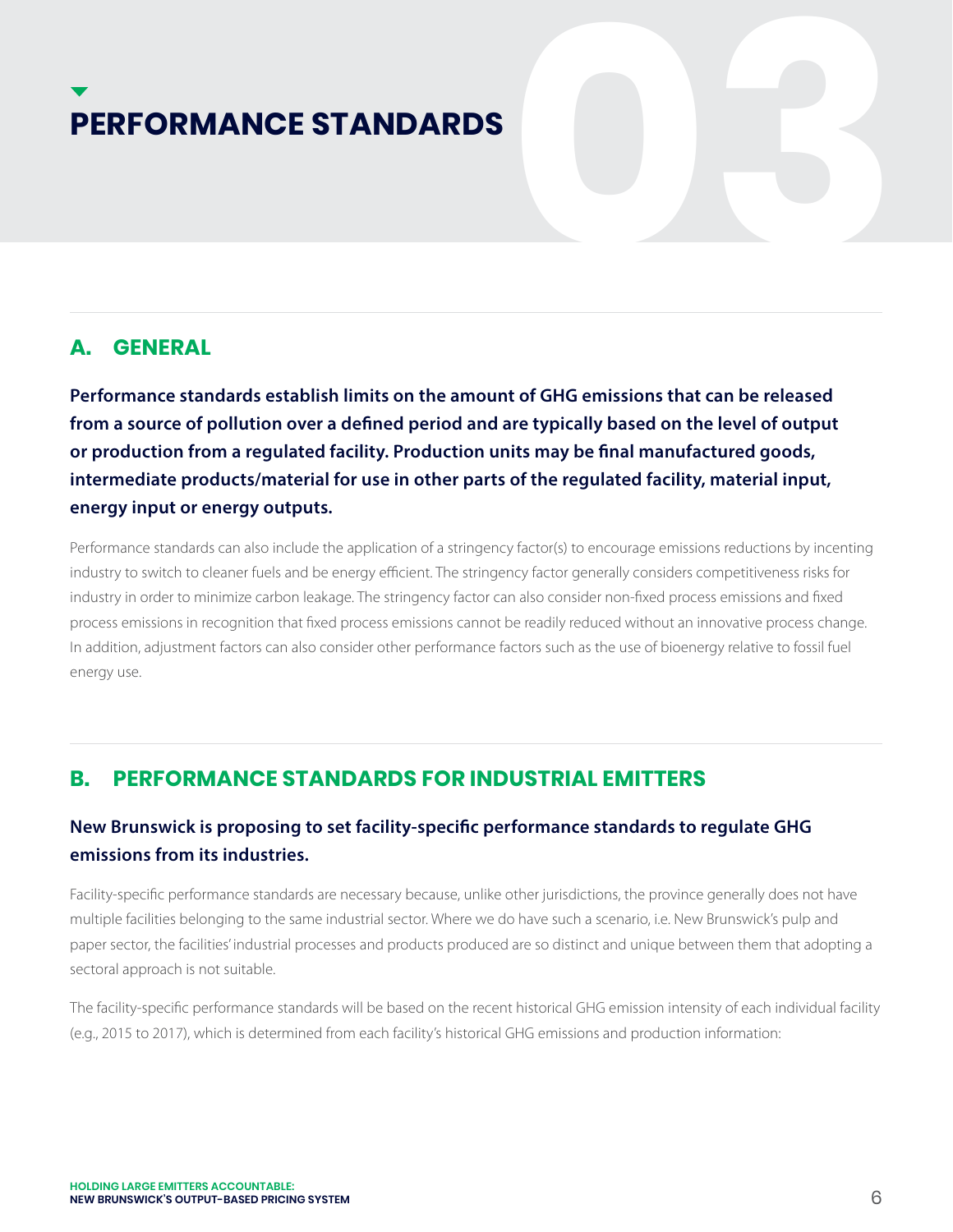# **PERFORMANCE STANDARDS**

## **A. GENERAL**

**Performance standards establish limits on the amount of GHG emissions that can be released from a source of pollution over a defined period and are typically based on the level of output or production from a regulated facility. Production units may be final manufactured goods, intermediate products/material for use in other parts of the regulated facility, material input, energy input or energy outputs.**

Performance standards can also include the application of a stringency factor(s) to encourage emissions reductions by incenting industry to switch to cleaner fuels and be energy efficient. The stringency factor generally considers competitiveness risks for industry in order to minimize carbon leakage. The stringency factor can also consider non-fixed process emissions and fixed process emissions in recognition that fixed process emissions cannot be readily reduced without an innovative process change. In addition, adjustment factors can also consider other performance factors such as the use of bioenergy relative to fossil fuel energy use.

# **B. PERFORMANCE STANDARDS FOR INDUSTRIAL EMITTERS**

# **New Brunswick is proposing to set facility-specific performance standards to regulate GHG emissions from its industries.**

Facility-specific performance standards are necessary because, unlike other jurisdictions, the province generally does not have multiple facilities belonging to the same industrial sector. Where we do have such a scenario, i.e. New Brunswick's pulp and paper sector, the facilities' industrial processes and products produced are so distinct and unique between them that adopting a sectoral approach is not suitable.

The facility-specific performance standards will be based on the recent historical GHG emission intensity of each individual facility (e.g., 2015 to 2017), which is determined from each facility's historical GHG emissions and production information: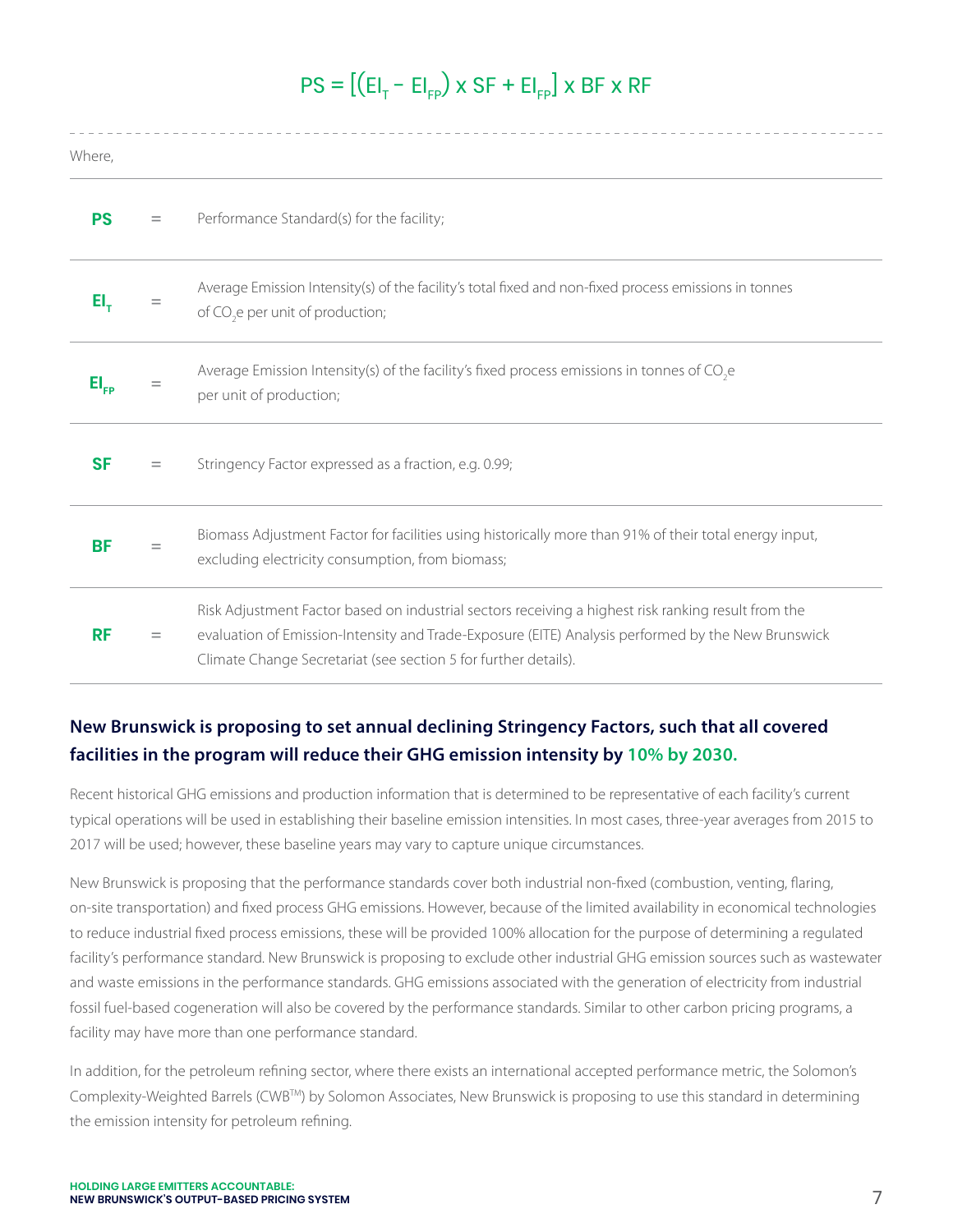# $PS = \left[ \left( E \right]_T - E \right]_{FP}$ ) x SF + EI<sub>FP</sub>J x BF x RF

| Where,                      |     |                                                                                                                                                                                                                                                                              |
|-----------------------------|-----|------------------------------------------------------------------------------------------------------------------------------------------------------------------------------------------------------------------------------------------------------------------------------|
| <b>PS</b>                   | $=$ | Performance Standard(s) for the facility;                                                                                                                                                                                                                                    |
| EI,                         |     | Average Emission Intensity(s) of the facility's total fixed and non-fixed process emissions in tonnes<br>of CO <sub>2</sub> e per unit of production;                                                                                                                        |
| $\mathsf{EI}_{\mathsf{FP}}$ |     | Average Emission Intensity(s) of the facility's fixed process emissions in tonnes of CO <sub>2</sub> e<br>per unit of production;                                                                                                                                            |
| <b>SF</b>                   | $=$ | Stringency Factor expressed as a fraction, e.g. 0.99;                                                                                                                                                                                                                        |
| <b>BF</b>                   |     | Biomass Adjustment Factor for facilities using historically more than 91% of their total energy input,<br>excluding electricity consumption, from biomass;                                                                                                                   |
| <b>RF</b>                   | $=$ | Risk Adjustment Factor based on industrial sectors receiving a highest risk ranking result from the<br>evaluation of Emission-Intensity and Trade-Exposure (EITE) Analysis performed by the New Brunswick<br>Climate Change Secretariat (see section 5 for further details). |

# **New Brunswick is proposing to set annual declining Stringency Factors, such that all covered facilities in the program will reduce their GHG emission intensity by 10% by 2030.**

Recent historical GHG emissions and production information that is determined to be representative of each facility's current typical operations will be used in establishing their baseline emission intensities. In most cases, three-year averages from 2015 to 2017 will be used; however, these baseline years may vary to capture unique circumstances.

New Brunswick is proposing that the performance standards cover both industrial non-fixed (combustion, venting, flaring, on-site transportation) and fixed process GHG emissions. However, because of the limited availability in economical technologies to reduce industrial fixed process emissions, these will be provided 100% allocation for the purpose of determining a regulated facility's performance standard. New Brunswick is proposing to exclude other industrial GHG emission sources such as wastewater and waste emissions in the performance standards. GHG emissions associated with the generation of electricity from industrial fossil fuel-based cogeneration will also be covered by the performance standards. Similar to other carbon pricing programs, a facility may have more than one performance standard.

In addition, for the petroleum refining sector, where there exists an international accepted performance metric, the Solomon's Complexity-Weighted Barrels (CWBTM) by Solomon Associates, New Brunswick is proposing to use this standard in determining the emission intensity for petroleum refining.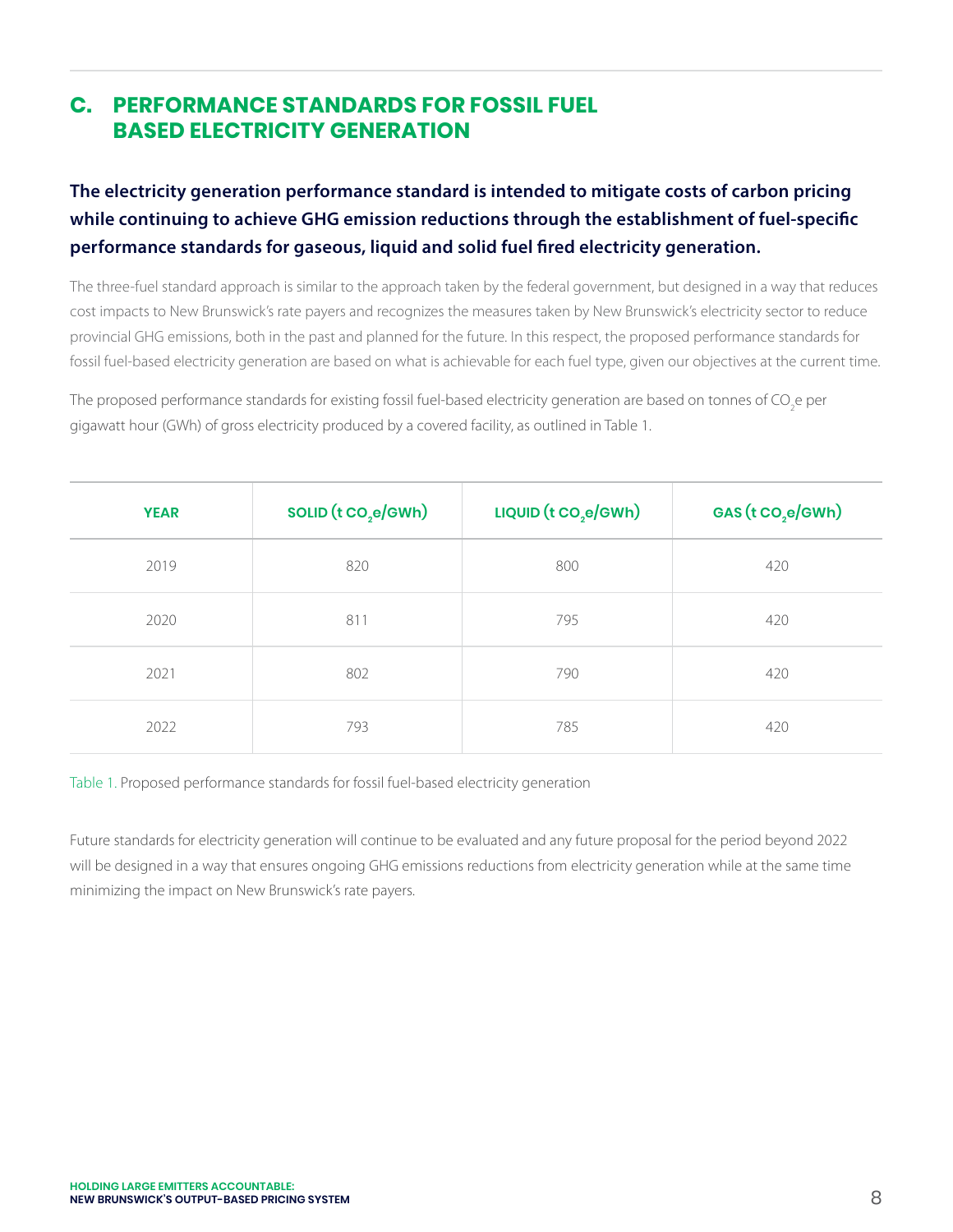# **C. PERFORMANCE STANDARDS FOR FOSSIL FUEL BASED ELECTRICITY GENERATION**

# **The electricity generation performance standard is intended to mitigate costs of carbon pricing while continuing to achieve GHG emission reductions through the establishment of fuel-specific performance standards for gaseous, liquid and solid fuel fired electricity generation.**

The three-fuel standard approach is similar to the approach taken by the federal government, but designed in a way that reduces cost impacts to New Brunswick's rate payers and recognizes the measures taken by New Brunswick's electricity sector to reduce provincial GHG emissions, both in the past and planned for the future. In this respect, the proposed performance standards for fossil fuel-based electricity generation are based on what is achievable for each fuel type, given our objectives at the current time.

The proposed performance standards for existing fossil fuel-based electricity generation are based on tonnes of CO<sub>2</sub>e per gigawatt hour (GWh) of gross electricity produced by a covered facility, as outlined in Table 1.

| <b>YEAR</b> | SOLID (t CO <sub>2</sub> e/GWh) | LIQUID $(t \text{CO}_2 \text{e}/\text{GWh})$ | GAS (t CO <sub>,e</sub> /GWh) |
|-------------|---------------------------------|----------------------------------------------|-------------------------------|
| 2019        | 820                             | 800                                          | 420                           |
| 2020        | 811                             | 795                                          | 420                           |
| 2021        | 802                             | 790                                          | 420                           |
| 2022        | 793                             | 785                                          | 420                           |

Table 1. Proposed performance standards for fossil fuel-based electricity generation

Future standards for electricity generation will continue to be evaluated and any future proposal for the period beyond 2022 will be designed in a way that ensures ongoing GHG emissions reductions from electricity generation while at the same time minimizing the impact on New Brunswick's rate payers.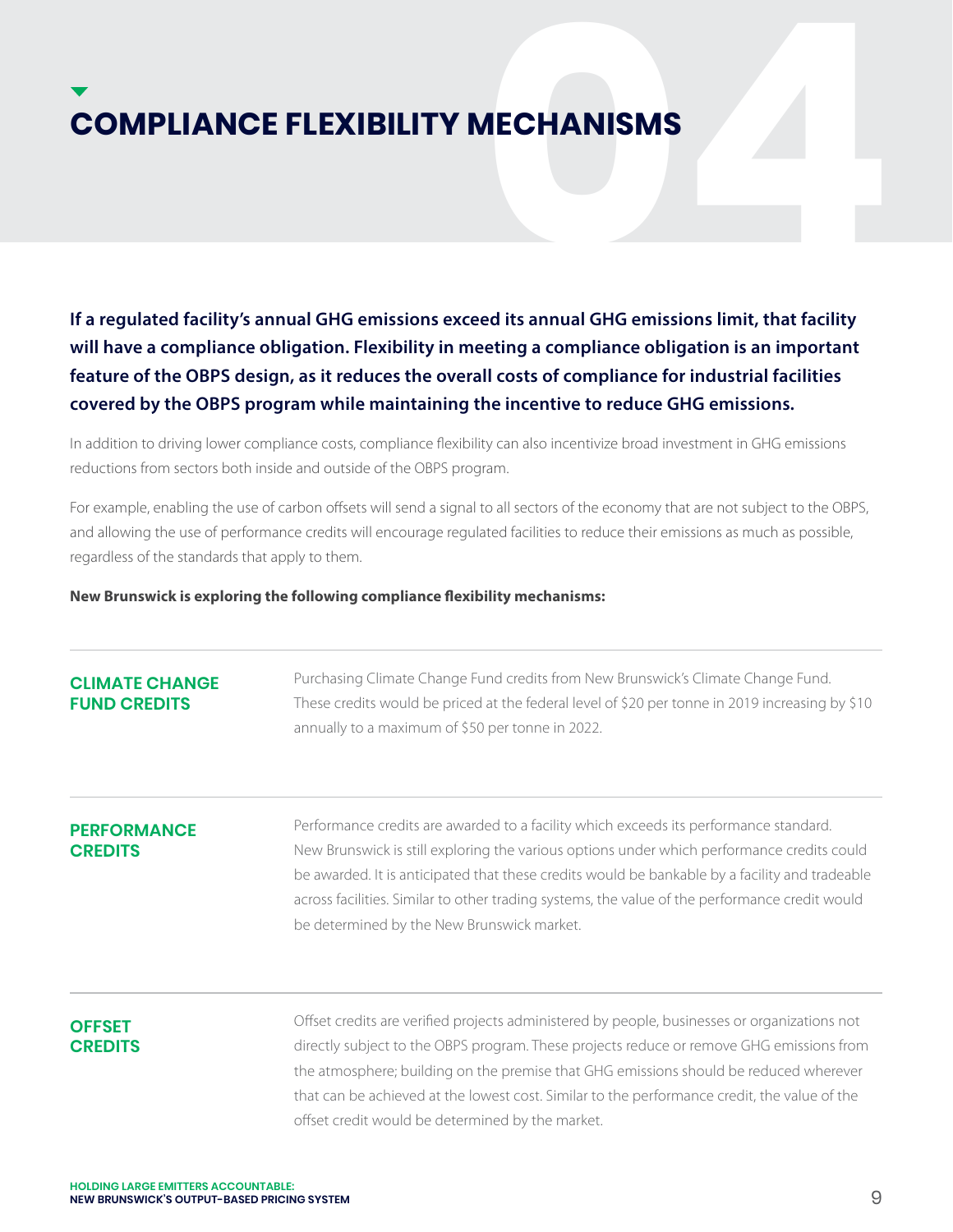**COMPLIANCE FLEXIBILITY MECHANISMS**<br>
If a regulated facility's annual GHG emissions exceed its annual GHG emissions limit, that facility<br>
Will have a compliance obligation. Flexibility in meeting a compliance obligation is **If a regulated facility's annual GHG emissions exceed its annual GHG emissions limit, that facility will have a compliance obligation. Flexibility in meeting a compliance obligation is an important feature of the OBPS design, as it reduces the overall costs of compliance for industrial facilities covered by the OBPS program while maintaining the incentive to reduce GHG emissions.** 

In addition to driving lower compliance costs, compliance flexibility can also incentivize broad investment in GHG emissions reductions from sectors both inside and outside of the OBPS program.

For example, enabling the use of carbon offsets will send a signal to all sectors of the economy that are not subject to the OBPS, and allowing the use of performance credits will encourage regulated facilities to reduce their emissions as much as possible, regardless of the standards that apply to them.

# **New Brunswick is exploring the following compliance flexibility mechanisms:**

| <b>CLIMATE CHANGE</b><br><b>FUND CREDITS</b> | Purchasing Climate Change Fund credits from New Brunswick's Climate Change Fund.<br>These credits would be priced at the federal level of \$20 per tonne in 2019 increasing by \$10<br>annually to a maximum of \$50 per tonne in 2022.                                                                                                                                                                                               |
|----------------------------------------------|---------------------------------------------------------------------------------------------------------------------------------------------------------------------------------------------------------------------------------------------------------------------------------------------------------------------------------------------------------------------------------------------------------------------------------------|
| <b>PERFORMANCE</b><br><b>CREDITS</b>         | Performance credits are awarded to a facility which exceeds its performance standard.<br>New Brunswick is still exploring the various options under which performance credits could<br>be awarded. It is anticipated that these credits would be bankable by a facility and tradeable<br>across facilities. Similar to other trading systems, the value of the performance credit would<br>be determined by the New Brunswick market. |
| <b>OFFSET</b>                                | Offset credits are verified projects administered by people, businesses or organizations not                                                                                                                                                                                                                                                                                                                                          |

# **CREDITS**

directly subject to the OBPS program. These projects reduce or remove GHG emissions from the atmosphere; building on the premise that GHG emissions should be reduced wherever that can be achieved at the lowest cost. Similar to the performance credit, the value of the offset credit would be determined by the market.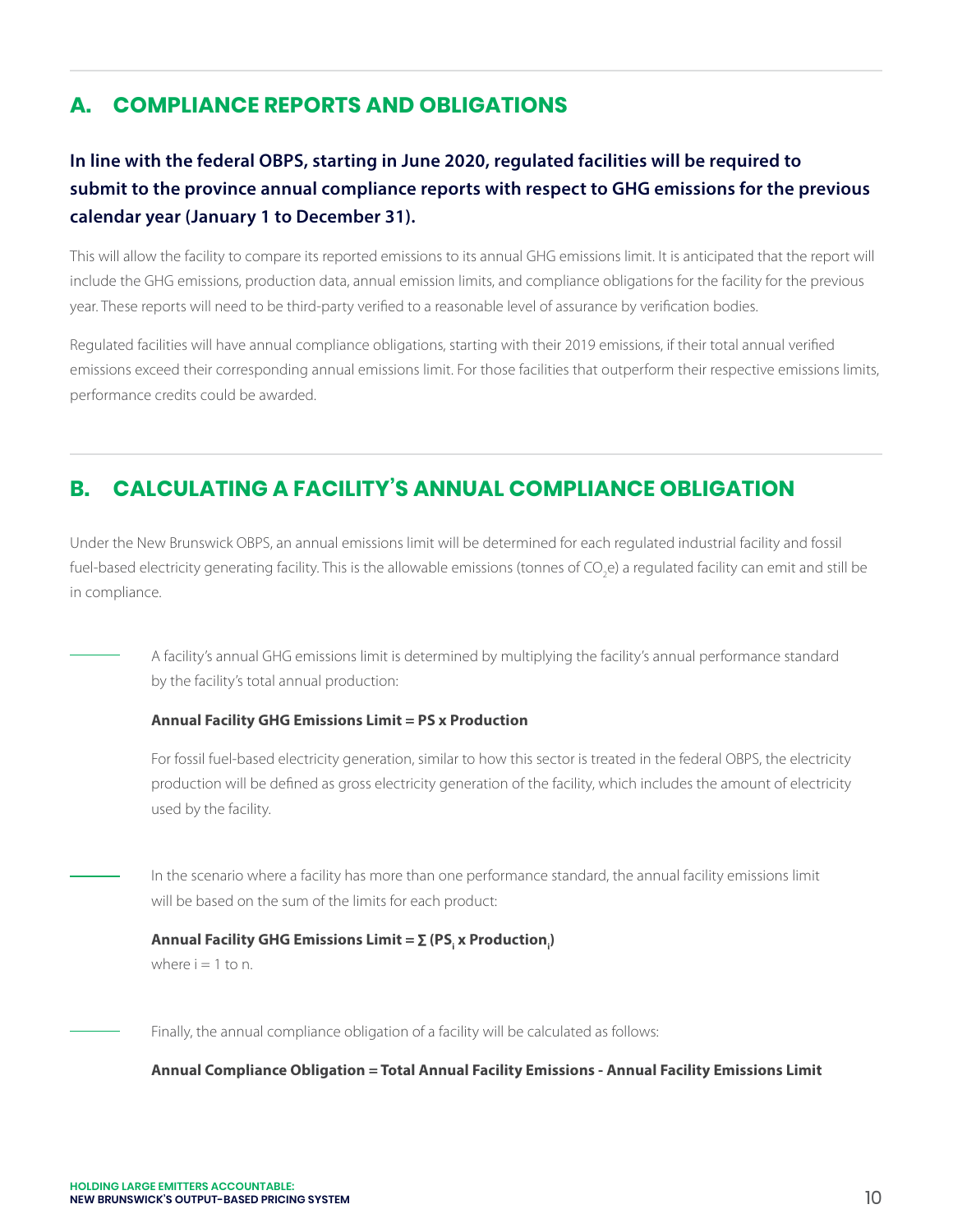### **A. COMPLIANCE REPORTS AND OBLIGATIONS**

# **In line with the federal OBPS, starting in June 2020, regulated facilities will be required to submit to the province annual compliance reports with respect to GHG emissions for the previous calendar year (January 1 to December 31).**

This will allow the facility to compare its reported emissions to its annual GHG emissions limit. It is anticipated that the report will include the GHG emissions, production data, annual emission limits, and compliance obligations for the facility for the previous year. These reports will need to be third-party verified to a reasonable level of assurance by verification bodies.

Regulated facilities will have annual compliance obligations, starting with their 2019 emissions, if their total annual verified emissions exceed their corresponding annual emissions limit. For those facilities that outperform their respective emissions limits, performance credits could be awarded.

## **B. CALCULATING A FACILITY'S ANNUAL COMPLIANCE OBLIGATION**

Under the New Brunswick OBPS, an annual emissions limit will be determined for each regulated industrial facility and fossil fuel-based electricity generating facility. This is the allowable emissions (tonnes of CO<sub>2</sub>e) a regulated facility can emit and still be in compliance.

A facility's annual GHG emissions limit is determined by multiplying the facility's annual performance standard by the facility's total annual production:

# **Annual Facility GHG Emissions Limit = PS x Production**

For fossil fuel-based electricity generation, similar to how this sector is treated in the federal OBPS, the electricity production will be defined as gross electricity generation of the facility, which includes the amount of electricity used by the facility.

In the scenario where a facility has more than one performance standard, the annual facility emissions limit will be based on the sum of the limits for each product:

# $\boldsymbol{\mathsf{Annual\; Factity\; GHG\; Emissions\; Limit} = \sum\limits_{i} \boldsymbol{(\mathsf{PS}_i\; \textbf{x\; Production}_i)}$ where  $i = 1$  to n.

Finally, the annual compliance obligation of a facility will be calculated as follows:

**Annual Compliance Obligation = Total Annual Facility Emissions - Annual Facility Emissions Limit**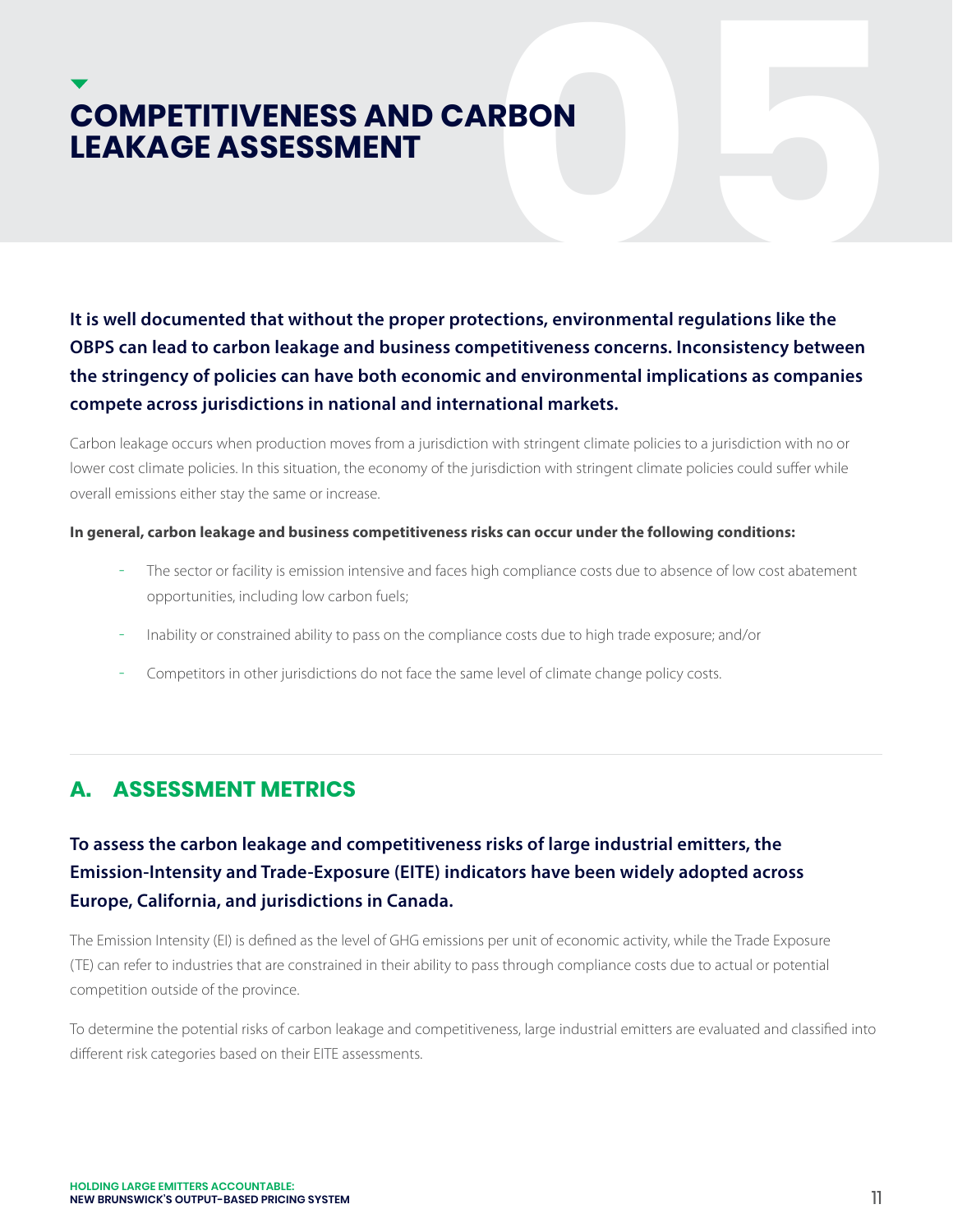# **COMPETITIVENESS AND CARBON<br>LEAKAGE ASSESSMENT**<br>It is well documented that without the proper protections, environmental regulations like the<br>OBPS can lead to carbon leakage and business competitiveness concerns. Inconsist **LEAKAGE ASSESSMENT**

**It is well documented that without the proper protections, environmental regulations like the OBPS can lead to carbon leakage and business competitiveness concerns. Inconsistency between the stringency of policies can have both economic and environmental implications as companies compete across jurisdictions in national and international markets.** 

Carbon leakage occurs when production moves from a jurisdiction with stringent climate policies to a jurisdiction with no or lower cost climate policies. In this situation, the economy of the jurisdiction with stringent climate policies could suffer while overall emissions either stay the same or increase.

# **In general, carbon leakage and business competitiveness risks can occur under the following conditions:**

- The sector or facility is emission intensive and faces high compliance costs due to absence of low cost abatement opportunities, including low carbon fuels;
- Inability or constrained ability to pass on the compliance costs due to high trade exposure; and/or
- Competitors in other jurisdictions do not face the same level of climate change policy costs.

# **A. ASSESSMENT METRICS**

# **To assess the carbon leakage and competitiveness risks of large industrial emitters, the Emission-Intensity and Trade-Exposure (EITE) indicators have been widely adopted across Europe, California, and jurisdictions in Canada.**

The Emission Intensity (EI) is defined as the level of GHG emissions per unit of economic activity, while the Trade Exposure (TE) can refer to industries that are constrained in their ability to pass through compliance costs due to actual or potential competition outside of the province.

To determine the potential risks of carbon leakage and competitiveness, large industrial emitters are evaluated and classified into different risk categories based on their EITE assessments.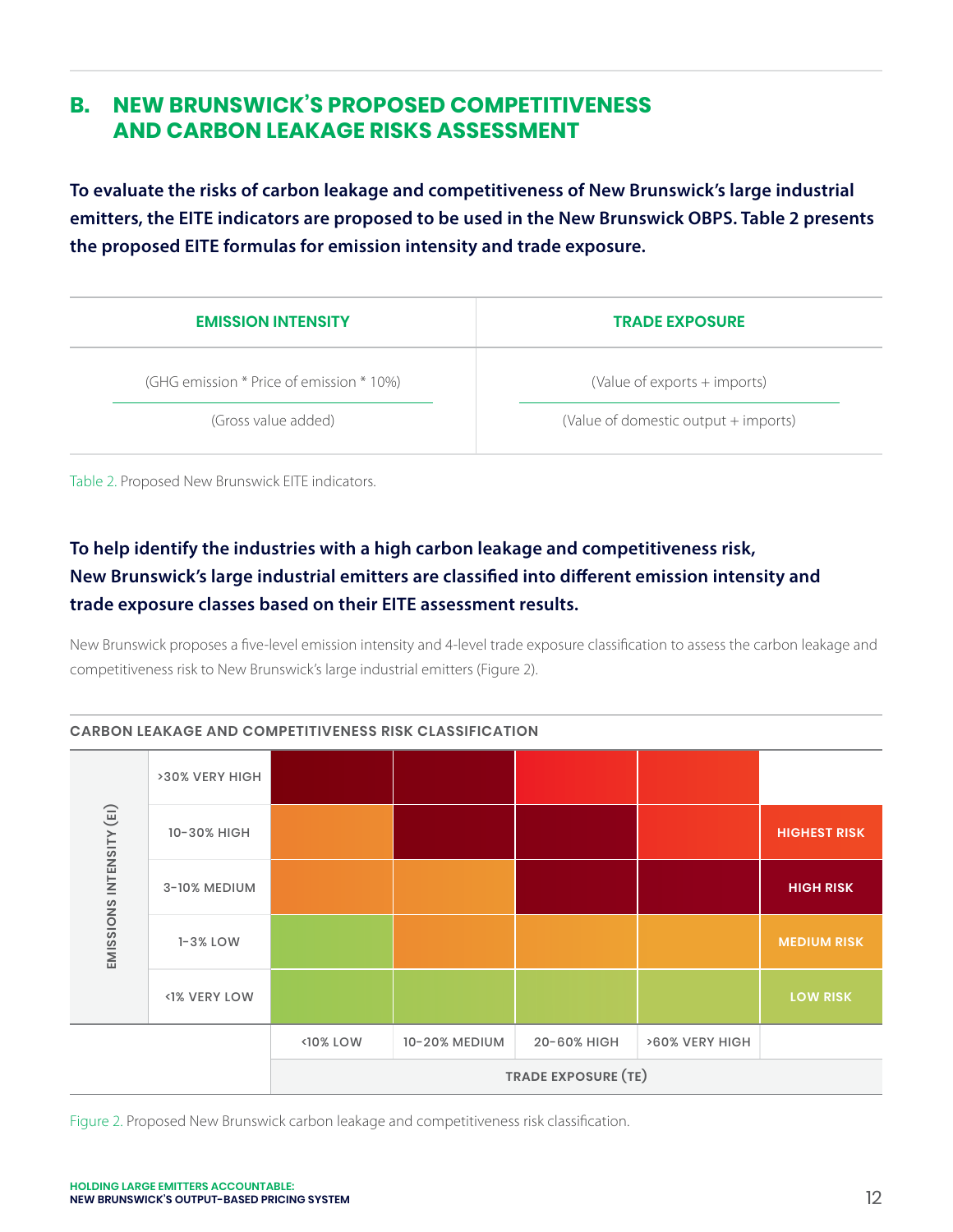# **B. NEW BRUNSWICK'S PROPOSED COMPETITIVENESS AND CARBON LEAKAGE RISKS ASSESSMENT**

**To evaluate the risks of carbon leakage and competitiveness of New Brunswick's large industrial emitters, the EITE indicators are proposed to be used in the New Brunswick OBPS. Table 2 presents the proposed EITE formulas for emission intensity and trade exposure.**

| <b>EMISSION INTENSITY</b>                | <b>TRADE EXPOSURE</b>                |
|------------------------------------------|--------------------------------------|
| (GHG emission * Price of emission * 10%) | (Value of exports + imports)         |
| (Gross value added)                      | (Value of domestic output + imports) |

Table 2. Proposed New Brunswick EITE indicators.

# **To help identify the industries with a high carbon leakage and competitiveness risk, New Brunswick's large industrial emitters are classified into different emission intensity and trade exposure classes based on their EITE assessment results.**

New Brunswick proposes a five-level emission intensity and 4-level trade exposure classification to assess the carbon leakage and competitiveness risk to New Brunswick's large industrial emitters (Figure 2).



Figure 2. Proposed New Brunswick carbon leakage and competitiveness risk classification.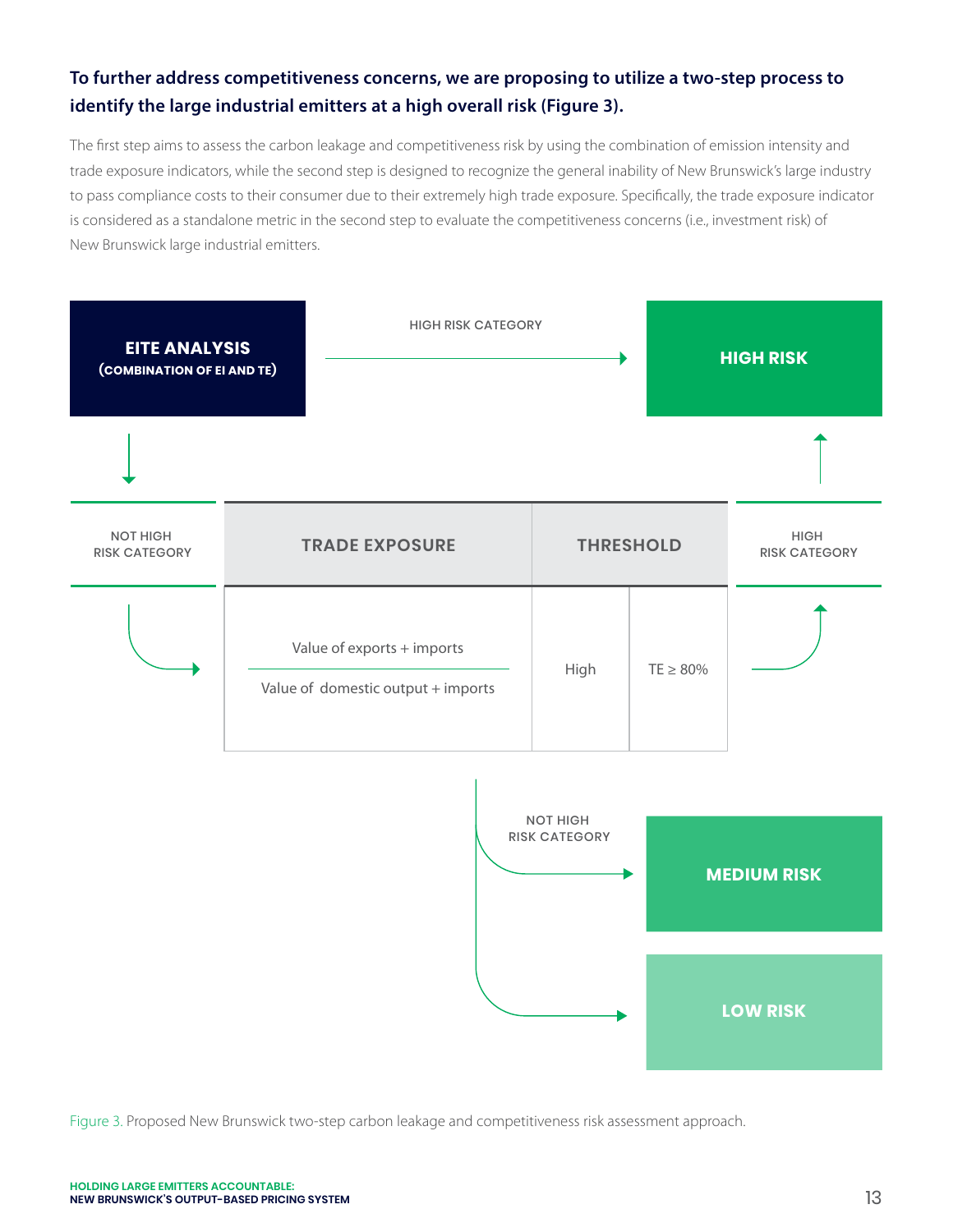# **To further address competitiveness concerns, we are proposing to utilize a two-step process to identify the large industrial emitters at a high overall risk (Figure 3).**

The first step aims to assess the carbon leakage and competitiveness risk by using the combination of emission intensity and trade exposure indicators, while the second step is designed to recognize the general inability of New Brunswick's large industry to pass compliance costs to their consumer due to their extremely high trade exposure. Specifically, the trade exposure indicator is considered as a standalone metric in the second step to evaluate the competitiveness concerns (i.e., investment risk) of New Brunswick large industrial emitters.



Figure 3. Proposed New Brunswick two-step carbon leakage and competitiveness risk assessment approach.